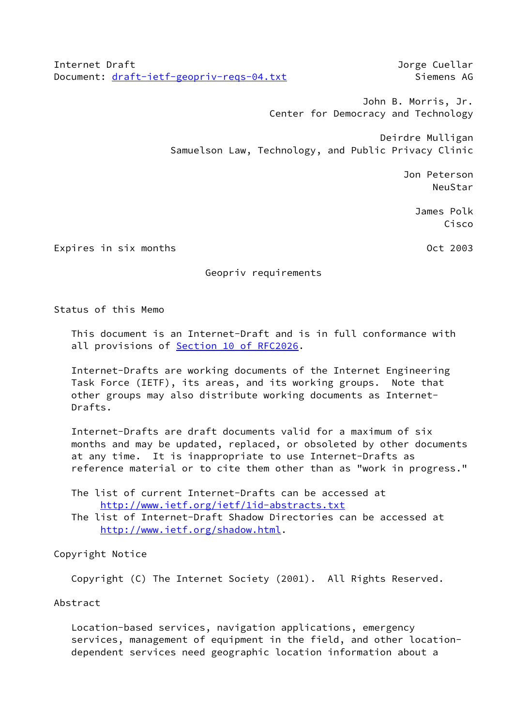Internet Draft Jorge Cuellar Document: [draft-ietf-geopriv-reqs-04.txt](https://datatracker.ietf.org/doc/pdf/draft-ietf-geopriv-reqs-04.txt) Siemens AG

 John B. Morris, Jr. Center for Democracy and Technology

 Deirdre Mulligan Samuelson Law, Technology, and Public Privacy Clinic

 Jon Peterson **NeuStar** Reusland and Communication of the Meusland Reusland and Communication of the NeuStar

 James Polk Cisco

Expires in six months **Calculation** Controller and Oct 2003

# Geopriv requirements

Status of this Memo

 This document is an Internet-Draft and is in full conformance with all provisions of Section [10 of RFC2026.](https://datatracker.ietf.org/doc/pdf/rfc2026#section-10)

 Internet-Drafts are working documents of the Internet Engineering Task Force (IETF), its areas, and its working groups. Note that other groups may also distribute working documents as Internet- Drafts.

 Internet-Drafts are draft documents valid for a maximum of six months and may be updated, replaced, or obsoleted by other documents at any time. It is inappropriate to use Internet-Drafts as reference material or to cite them other than as "work in progress."

 The list of current Internet-Drafts can be accessed at <http://www.ietf.org/ietf/1id-abstracts.txt>

 The list of Internet-Draft Shadow Directories can be accessed at <http://www.ietf.org/shadow.html>.

Copyright Notice

Copyright (C) The Internet Society (2001). All Rights Reserved.

Abstract

 Location-based services, navigation applications, emergency services, management of equipment in the field, and other location dependent services need geographic location information about a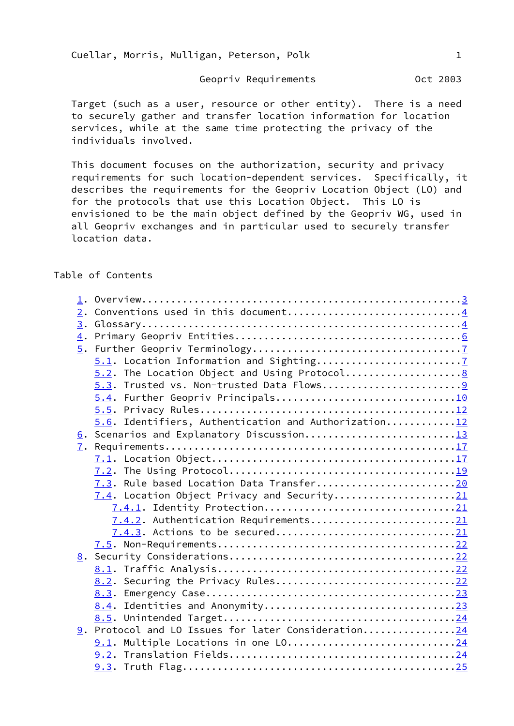Geopriv Requirements **CELL 1003** 

 Target (such as a user, resource or other entity). There is a need to securely gather and transfer location information for location services, while at the same time protecting the privacy of the individuals involved.

 This document focuses on the authorization, security and privacy requirements for such location-dependent services. Specifically, it describes the requirements for the Geopriv Location Object (LO) and for the protocols that use this Location Object. This LO is envisioned to be the main object defined by the Geopriv WG, used in all Geopriv exchanges and in particular used to securely transfer location data.

# Table of Contents

| 2. |                                                      |  |
|----|------------------------------------------------------|--|
|    |                                                      |  |
|    |                                                      |  |
|    |                                                      |  |
|    |                                                      |  |
|    |                                                      |  |
|    |                                                      |  |
|    | 5.4. Further Geopriv Principals10                    |  |
|    |                                                      |  |
|    | 5.6. Identifiers, Authentication and Authorization12 |  |
|    | 6. Scenarios and Explanatory Discussion13            |  |
|    |                                                      |  |
|    |                                                      |  |
|    |                                                      |  |
|    | 7.3. Rule based Location Data Transfer20             |  |
|    | 7.4. Location Object Privacy and Security21          |  |
|    |                                                      |  |
|    | 7.4.2. Authentication Requirements21                 |  |
|    | 7.4.3. Actions to be secured21                       |  |
|    |                                                      |  |
|    |                                                      |  |
|    |                                                      |  |
|    | 8.2. Securing the Privacy Rules22                    |  |
|    | 8.3.                                                 |  |
|    |                                                      |  |
|    |                                                      |  |
|    | 9. Protocol and LO Issues for later Consideration24  |  |
|    | 9.1. Multiple Locations in one LO24                  |  |
|    |                                                      |  |
|    |                                                      |  |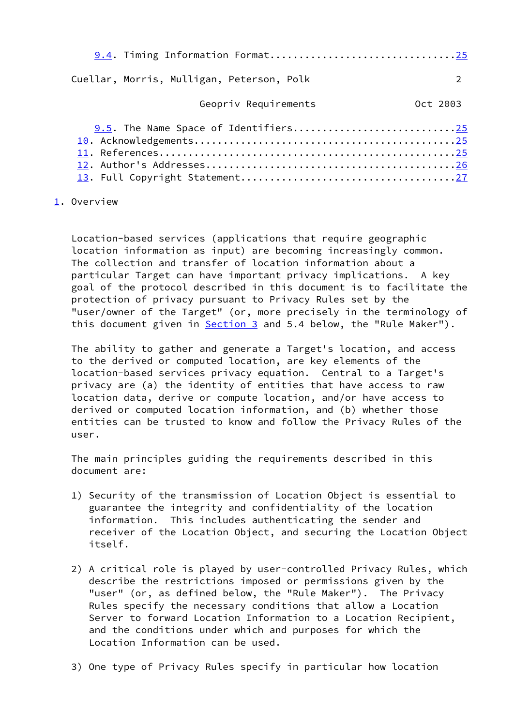| 9.4. Timing Information Format25          |          |
|-------------------------------------------|----------|
| Cuellar, Morris, Mulligan, Peterson, Polk |          |
| Geopriv Requirements                      | Oct 2003 |
| 9.5. The Name Space of Identifiers25      |          |

<span id="page-2-0"></span>[1](#page-2-0). Overview

 Location-based services (applications that require geographic location information as input) are becoming increasingly common. The collection and transfer of location information about a particular Target can have important privacy implications. A key goal of the protocol described in this document is to facilitate the protection of privacy pursuant to Privacy Rules set by the "user/owner of the Target" (or, more precisely in the terminology of this document given in **Section 3** and 5.4 below, the "Rule Maker").

 The ability to gather and generate a Target's location, and access to the derived or computed location, are key elements of the location-based services privacy equation. Central to a Target's privacy are (a) the identity of entities that have access to raw location data, derive or compute location, and/or have access to derived or computed location information, and (b) whether those entities can be trusted to know and follow the Privacy Rules of the user.

 The main principles guiding the requirements described in this document are:

- 1) Security of the transmission of Location Object is essential to guarantee the integrity and confidentiality of the location information. This includes authenticating the sender and receiver of the Location Object, and securing the Location Object itself.
- 2) A critical role is played by user-controlled Privacy Rules, which describe the restrictions imposed or permissions given by the "user" (or, as defined below, the "Rule Maker"). The Privacy Rules specify the necessary conditions that allow a Location Server to forward Location Information to a Location Recipient, and the conditions under which and purposes for which the Location Information can be used.
- 3) One type of Privacy Rules specify in particular how location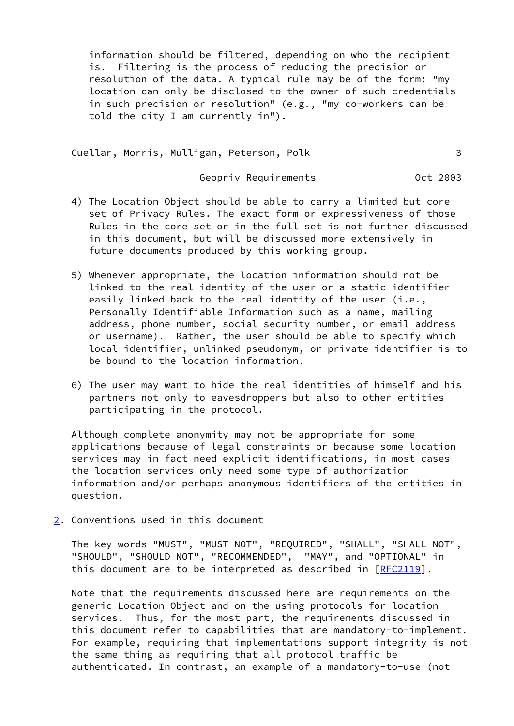information should be filtered, depending on who the recipient is. Filtering is the process of reducing the precision or resolution of the data. A typical rule may be of the form: "my location can only be disclosed to the owner of such credentials in such precision or resolution" (e.g., "my co-workers can be told the city I am currently in").

Cuellar, Morris, Mulligan, Peterson, Polk 3

Geopriv Requirements **CELL COLO 1898** Oct 2003

- 4) The Location Object should be able to carry a limited but core set of Privacy Rules. The exact form or expressiveness of those Rules in the core set or in the full set is not further discussed in this document, but will be discussed more extensively in future documents produced by this working group.
- 5) Whenever appropriate, the location information should not be linked to the real identity of the user or a static identifier easily linked back to the real identity of the user (i.e., Personally Identifiable Information such as a name, mailing address, phone number, social security number, or email address or username). Rather, the user should be able to specify which local identifier, unlinked pseudonym, or private identifier is to be bound to the location information.
- 6) The user may want to hide the real identities of himself and his partners not only to eavesdroppers but also to other entities participating in the protocol.

 Although complete anonymity may not be appropriate for some applications because of legal constraints or because some location services may in fact need explicit identifications, in most cases the location services only need some type of authorization information and/or perhaps anonymous identifiers of the entities in question.

<span id="page-3-0"></span>[2](#page-3-0). Conventions used in this document

 The key words "MUST", "MUST NOT", "REQUIRED", "SHALL", "SHALL NOT", "SHOULD", "SHOULD NOT", "RECOMMENDED", "MAY", and "OPTIONAL" in this document are to be interpreted as described in  $[REC2119]$ .

 Note that the requirements discussed here are requirements on the generic Location Object and on the using protocols for location services. Thus, for the most part, the requirements discussed in this document refer to capabilities that are mandatory-to-implement. For example, requiring that implementations support integrity is not the same thing as requiring that all protocol traffic be authenticated. In contrast, an example of a mandatory-to-use (not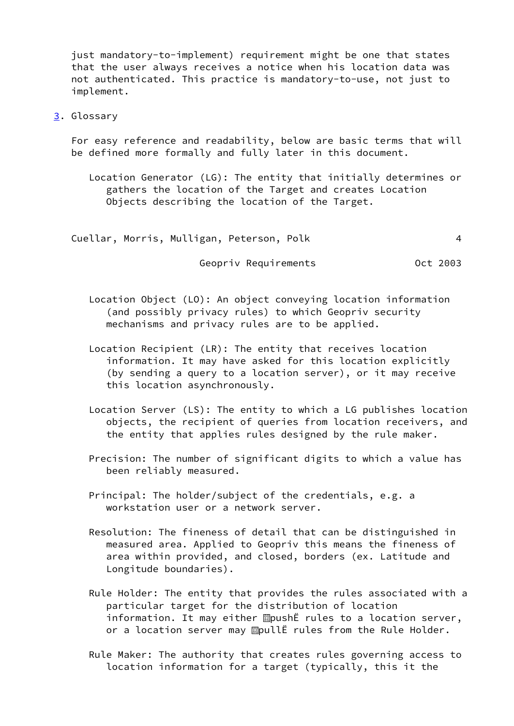just mandatory-to-implement) requirement might be one that states that the user always receives a notice when his location data was not authenticated. This practice is mandatory-to-use, not just to implement.

<span id="page-4-0"></span>[3](#page-4-0). Glossary

 For easy reference and readability, below are basic terms that will be defined more formally and fully later in this document.

 Location Generator (LG): The entity that initially determines or gathers the location of the Target and creates Location Objects describing the location of the Target.

Cuellar, Morris, Mulligan, Peterson, Polk 4

Geopriv Requirements **CELL COLO 1898** Oct 2003

 Location Object (LO): An object conveying location information (and possibly privacy rules) to which Geopriv security mechanisms and privacy rules are to be applied.

- Location Recipient (LR): The entity that receives location information. It may have asked for this location explicitly (by sending a query to a location server), or it may receive this location asynchronously.
- Location Server (LS): The entity to which a LG publishes location objects, the recipient of queries from location receivers, and the entity that applies rules designed by the rule maker.
- Precision: The number of significant digits to which a value has been reliably measured.
- Principal: The holder/subject of the credentials, e.g. a workstation user or a network server.
- Resolution: The fineness of detail that can be distinguished in measured area. Applied to Geopriv this means the fineness of area within provided, and closed, borders (ex. Latitude and Longitude boundaries).
- Rule Holder: The entity that provides the rules associated with a particular target for the distribution of location information. It may either  $\mathbb B$ pushË rules to a location server, or a location server may **MoullE** rules from the Rule Holder.
- Rule Maker: The authority that creates rules governing access to location information for a target (typically, this it the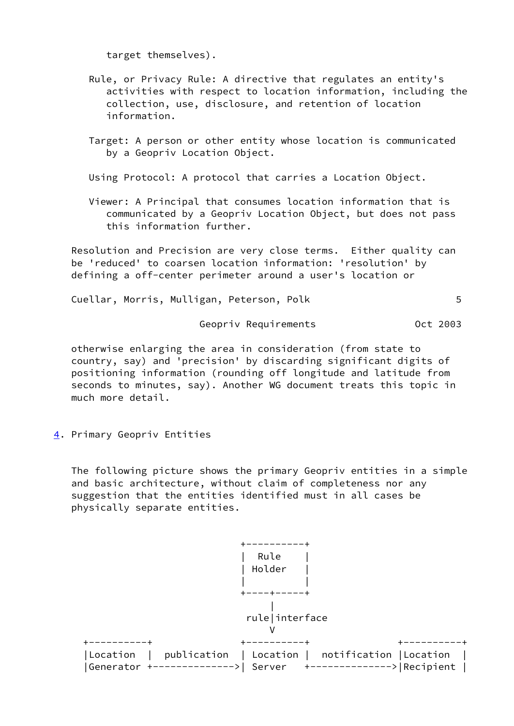target themselves).

- Rule, or Privacy Rule: A directive that regulates an entity's activities with respect to location information, including the collection, use, disclosure, and retention of location information.
- Target: A person or other entity whose location is communicated by a Geopriv Location Object.
- Using Protocol: A protocol that carries a Location Object.
- Viewer: A Principal that consumes location information that is communicated by a Geopriv Location Object, but does not pass this information further.

 Resolution and Precision are very close terms. Either quality can be 'reduced' to coarsen location information: 'resolution' by defining a off-center perimeter around a user's location or

Cuellar, Morris, Mulligan, Peterson, Polk 5

Geopriv Requirements **CELL 1998** Oct 2003

 otherwise enlarging the area in consideration (from state to country, say) and 'precision' by discarding significant digits of positioning information (rounding off longitude and latitude from seconds to minutes, say). Another WG document treats this topic in much more detail.

<span id="page-5-0"></span>[4](#page-5-0). Primary Geopriv Entities

 The following picture shows the primary Geopriv entities in a simple and basic architecture, without claim of completeness nor any suggestion that the entities identified must in all cases be physically separate entities.

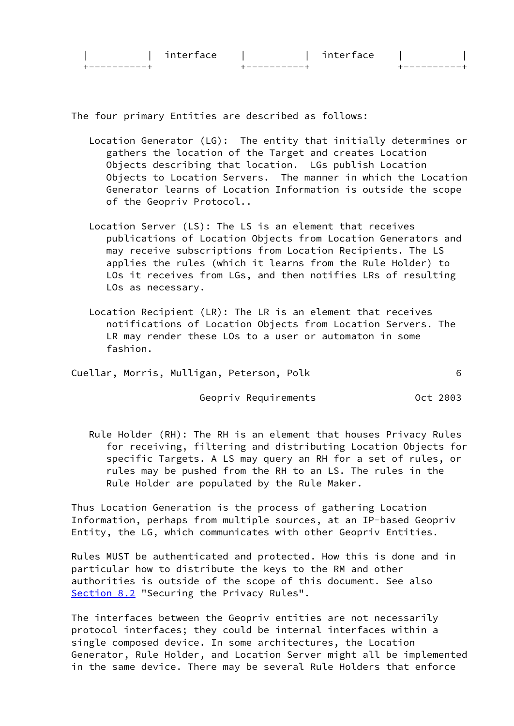| $\neg$ n<br>$\cdots$ | interface |  |
|----------------------|-----------|--|
|                      |           |  |

The four primary Entities are described as follows:

- Location Generator (LG): The entity that initially determines or gathers the location of the Target and creates Location Objects describing that location. LGs publish Location Objects to Location Servers. The manner in which the Location Generator learns of Location Information is outside the scope of the Geopriv Protocol..
- Location Server (LS): The LS is an element that receives publications of Location Objects from Location Generators and may receive subscriptions from Location Recipients. The LS applies the rules (which it learns from the Rule Holder) to LOs it receives from LGs, and then notifies LRs of resulting LOs as necessary.
- Location Recipient (LR): The LR is an element that receives notifications of Location Objects from Location Servers. The LR may render these LOs to a user or automaton in some fashion.
- Cuellar, Morris, Mulligan, Peterson, Polk 6

Geopriv Requirements **CELL COLO 1898** Oct 2003

 Rule Holder (RH): The RH is an element that houses Privacy Rules for receiving, filtering and distributing Location Objects for specific Targets. A LS may query an RH for a set of rules, or rules may be pushed from the RH to an LS. The rules in the Rule Holder are populated by the Rule Maker.

 Thus Location Generation is the process of gathering Location Information, perhaps from multiple sources, at an IP-based Geopriv Entity, the LG, which communicates with other Geopriv Entities.

 Rules MUST be authenticated and protected. How this is done and in particular how to distribute the keys to the RM and other authorities is outside of the scope of this document. See also [Section 8.2](#page-24-1) "Securing the Privacy Rules".

 The interfaces between the Geopriv entities are not necessarily protocol interfaces; they could be internal interfaces within a single composed device. In some architectures, the Location Generator, Rule Holder, and Location Server might all be implemented in the same device. There may be several Rule Holders that enforce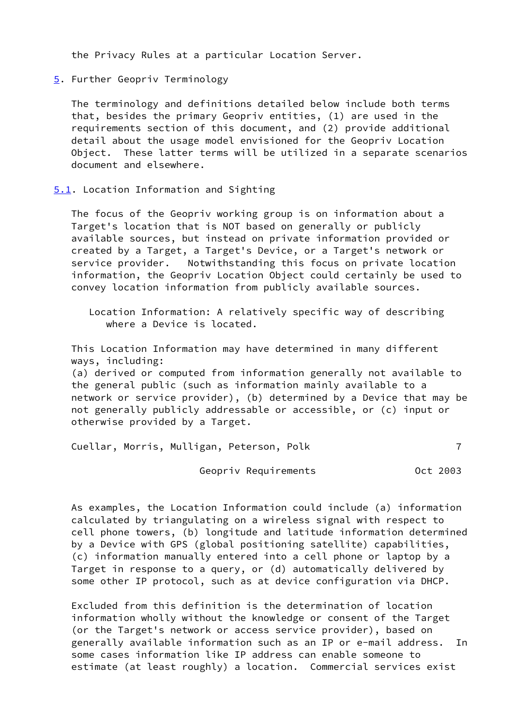the Privacy Rules at a particular Location Server.

<span id="page-7-0"></span>[5](#page-7-0). Further Geopriv Terminology

 The terminology and definitions detailed below include both terms that, besides the primary Geopriv entities, (1) are used in the requirements section of this document, and (2) provide additional detail about the usage model envisioned for the Geopriv Location Object. These latter terms will be utilized in a separate scenarios document and elsewhere.

<span id="page-7-1"></span>[5.1](#page-7-1). Location Information and Sighting

 The focus of the Geopriv working group is on information about a Target's location that is NOT based on generally or publicly available sources, but instead on private information provided or created by a Target, a Target's Device, or a Target's network or service provider. Notwithstanding this focus on private location information, the Geopriv Location Object could certainly be used to convey location information from publicly available sources.

 This Location Information may have determined in many different ways, including:

 (a) derived or computed from information generally not available to the general public (such as information mainly available to a network or service provider), (b) determined by a Device that may be not generally publicly addressable or accessible, or (c) input or otherwise provided by a Target.

Cuellar, Morris, Mulligan, Peterson, Polk 7

Geopriv Requirements **CELL 1003** 

 As examples, the Location Information could include (a) information calculated by triangulating on a wireless signal with respect to cell phone towers, (b) longitude and latitude information determined by a Device with GPS (global positioning satellite) capabilities, (c) information manually entered into a cell phone or laptop by a Target in response to a query, or (d) automatically delivered by some other IP protocol, such as at device configuration via DHCP.

 Excluded from this definition is the determination of location information wholly without the knowledge or consent of the Target (or the Target's network or access service provider), based on generally available information such as an IP or e-mail address. In some cases information like IP address can enable someone to estimate (at least roughly) a location. Commercial services exist

Location Information: A relatively specific way of describing where a Device is located.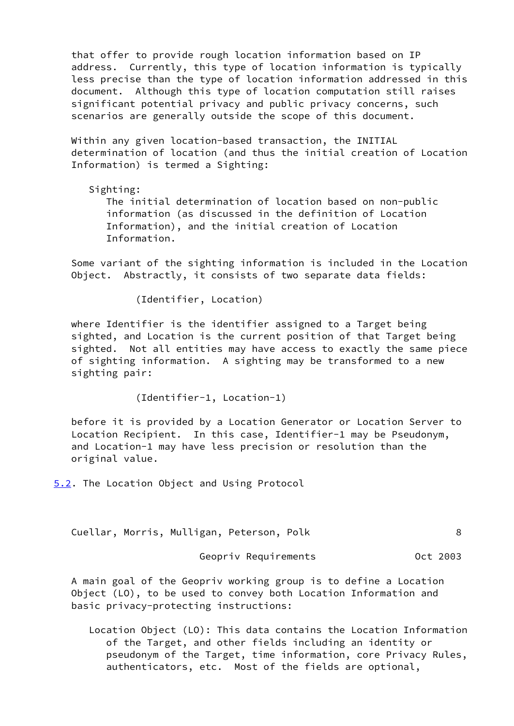that offer to provide rough location information based on IP address. Currently, this type of location information is typically less precise than the type of location information addressed in this document. Although this type of location computation still raises significant potential privacy and public privacy concerns, such scenarios are generally outside the scope of this document.

 Within any given location-based transaction, the INITIAL determination of location (and thus the initial creation of Location Information) is termed a Sighting:

 Sighting: The initial determination of location based on non-public information (as discussed in the definition of Location Information), and the initial creation of Location Information.

 Some variant of the sighting information is included in the Location Object. Abstractly, it consists of two separate data fields:

(Identifier, Location)

 where Identifier is the identifier assigned to a Target being sighted, and Location is the current position of that Target being sighted. Not all entities may have access to exactly the same piece of sighting information. A sighting may be transformed to a new sighting pair:

(Identifier-1, Location-1)

 before it is provided by a Location Generator or Location Server to Location Recipient. In this case, Identifier-1 may be Pseudonym, and Location-1 may have less precision or resolution than the original value.

<span id="page-8-0"></span>[5.2](#page-8-0). The Location Object and Using Protocol

Cuellar, Morris, Mulligan, Peterson, Polk 8

Geopriv Requirements **CELL 1998** Oct 2003

 A main goal of the Geopriv working group is to define a Location Object (LO), to be used to convey both Location Information and basic privacy-protecting instructions:

 Location Object (LO): This data contains the Location Information of the Target, and other fields including an identity or pseudonym of the Target, time information, core Privacy Rules, authenticators, etc. Most of the fields are optional,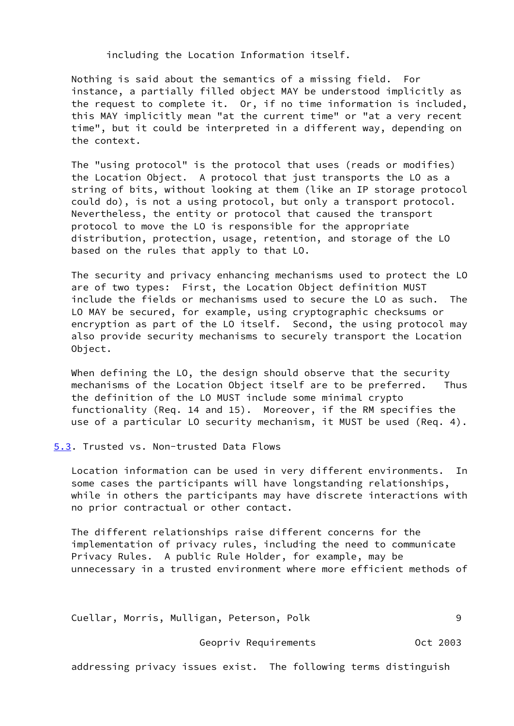including the Location Information itself.

 Nothing is said about the semantics of a missing field. For instance, a partially filled object MAY be understood implicitly as the request to complete it. Or, if no time information is included, this MAY implicitly mean "at the current time" or "at a very recent time", but it could be interpreted in a different way, depending on the context.

 The "using protocol" is the protocol that uses (reads or modifies) the Location Object. A protocol that just transports the LO as a string of bits, without looking at them (like an IP storage protocol could do), is not a using protocol, but only a transport protocol. Nevertheless, the entity or protocol that caused the transport protocol to move the LO is responsible for the appropriate distribution, protection, usage, retention, and storage of the LO based on the rules that apply to that LO.

 The security and privacy enhancing mechanisms used to protect the LO are of two types: First, the Location Object definition MUST include the fields or mechanisms used to secure the LO as such. The LO MAY be secured, for example, using cryptographic checksums or encryption as part of the LO itself. Second, the using protocol may also provide security mechanisms to securely transport the Location Object.

 When defining the LO, the design should observe that the security mechanisms of the Location Object itself are to be preferred. Thus the definition of the LO MUST include some minimal crypto functionality (Req. 14 and 15). Moreover, if the RM specifies the use of a particular LO security mechanism, it MUST be used (Req. 4).

<span id="page-9-0"></span>[5.3](#page-9-0). Trusted vs. Non-trusted Data Flows

 Location information can be used in very different environments. In some cases the participants will have longstanding relationships, while in others the participants may have discrete interactions with no prior contractual or other contact.

 The different relationships raise different concerns for the implementation of privacy rules, including the need to communicate Privacy Rules. A public Rule Holder, for example, may be unnecessary in a trusted environment where more efficient methods of

Cuellar, Morris, Mulligan, Peterson, Polk 9

Geopriv Requirements **CELL COLO 1898** Oct 2003

addressing privacy issues exist. The following terms distinguish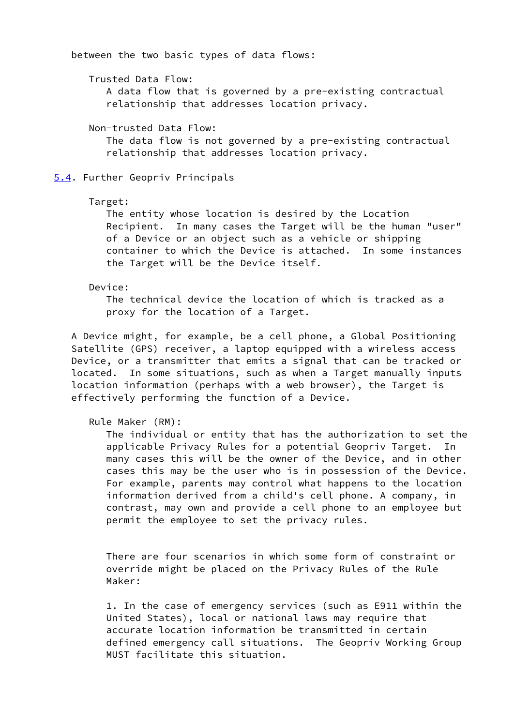between the two basic types of data flows:

 Trusted Data Flow: A data flow that is governed by a pre-existing contractual relationship that addresses location privacy.

Non-trusted Data Flow:

 The data flow is not governed by a pre-existing contractual relationship that addresses location privacy.

<span id="page-10-0"></span>[5.4](#page-10-0). Further Geopriv Principals

## Target:

 The entity whose location is desired by the Location Recipient. In many cases the Target will be the human "user" of a Device or an object such as a vehicle or shipping container to which the Device is attached. In some instances the Target will be the Device itself.

#### Device:

 The technical device the location of which is tracked as a proxy for the location of a Target.

 A Device might, for example, be a cell phone, a Global Positioning Satellite (GPS) receiver, a laptop equipped with a wireless access Device, or a transmitter that emits a signal that can be tracked or located. In some situations, such as when a Target manually inputs location information (perhaps with a web browser), the Target is effectively performing the function of a Device.

Rule Maker (RM):

 The individual or entity that has the authorization to set the applicable Privacy Rules for a potential Geopriv Target. In many cases this will be the owner of the Device, and in other cases this may be the user who is in possession of the Device. For example, parents may control what happens to the location information derived from a child's cell phone. A company, in contrast, may own and provide a cell phone to an employee but permit the employee to set the privacy rules.

 There are four scenarios in which some form of constraint or override might be placed on the Privacy Rules of the Rule Maker:

 1. In the case of emergency services (such as E911 within the United States), local or national laws may require that accurate location information be transmitted in certain defined emergency call situations. The Geopriv Working Group MUST facilitate this situation.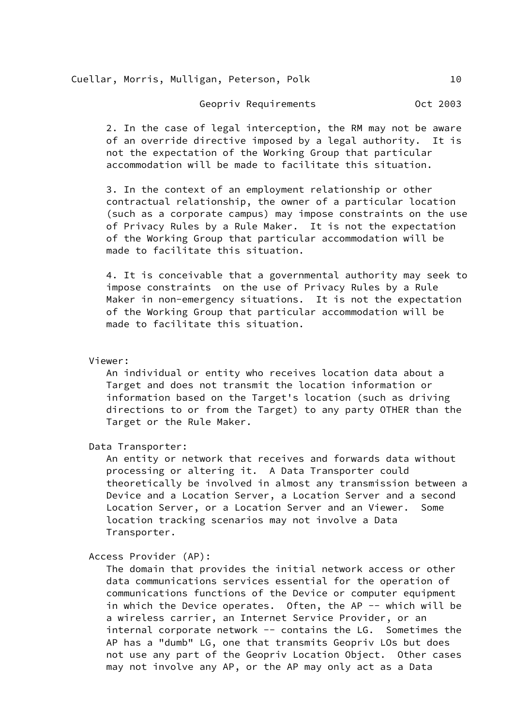Cuellar, Morris, Mulligan, Peterson, Polk 10

Geopriv Requirements **CELL 1003** 

 2. In the case of legal interception, the RM may not be aware of an override directive imposed by a legal authority. It is not the expectation of the Working Group that particular accommodation will be made to facilitate this situation.

 3. In the context of an employment relationship or other contractual relationship, the owner of a particular location (such as a corporate campus) may impose constraints on the use of Privacy Rules by a Rule Maker. It is not the expectation of the Working Group that particular accommodation will be made to facilitate this situation.

 4. It is conceivable that a governmental authority may seek to impose constraints on the use of Privacy Rules by a Rule Maker in non-emergency situations. It is not the expectation of the Working Group that particular accommodation will be made to facilitate this situation.

Viewer:

 An individual or entity who receives location data about a Target and does not transmit the location information or information based on the Target's location (such as driving directions to or from the Target) to any party OTHER than the Target or the Rule Maker.

Data Transporter:

 An entity or network that receives and forwards data without processing or altering it. A Data Transporter could theoretically be involved in almost any transmission between a Device and a Location Server, a Location Server and a second Location Server, or a Location Server and an Viewer. Some location tracking scenarios may not involve a Data Transporter.

Access Provider (AP):

 The domain that provides the initial network access or other data communications services essential for the operation of communications functions of the Device or computer equipment in which the Device operates. Often, the AP -- which will be a wireless carrier, an Internet Service Provider, or an internal corporate network -- contains the LG. Sometimes the AP has a "dumb" LG, one that transmits Geopriv LOs but does not use any part of the Geopriv Location Object. Other cases may not involve any AP, or the AP may only act as a Data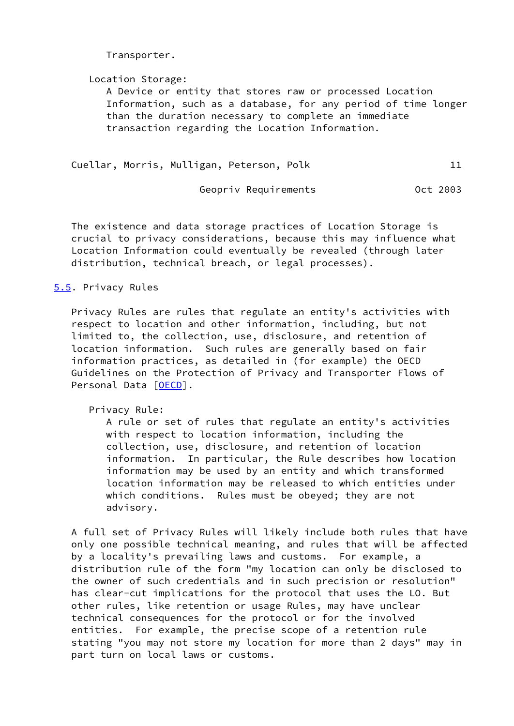Transporter.

Location Storage:

 A Device or entity that stores raw or processed Location Information, such as a database, for any period of time longer than the duration necessary to complete an immediate transaction regarding the Location Information.

Cuellar, Morris, Mulligan, Peterson, Polk 11

Geopriv Requirements **CELL COLO 1898** Oct 2003

 The existence and data storage practices of Location Storage is crucial to privacy considerations, because this may influence what Location Information could eventually be revealed (through later distribution, technical breach, or legal processes).

# <span id="page-12-0"></span>[5.5](#page-12-0). Privacy Rules

 Privacy Rules are rules that regulate an entity's activities with respect to location and other information, including, but not limited to, the collection, use, disclosure, and retention of location information. Such rules are generally based on fair information practices, as detailed in (for example) the OECD Guidelines on the Protection of Privacy and Transporter Flows of Personal Data [[OECD\]](#page-28-1).

Privacy Rule:

 A rule or set of rules that regulate an entity's activities with respect to location information, including the collection, use, disclosure, and retention of location information. In particular, the Rule describes how location information may be used by an entity and which transformed location information may be released to which entities under which conditions. Rules must be obeyed; they are not advisory.

 A full set of Privacy Rules will likely include both rules that have only one possible technical meaning, and rules that will be affected by a locality's prevailing laws and customs. For example, a distribution rule of the form "my location can only be disclosed to the owner of such credentials and in such precision or resolution" has clear-cut implications for the protocol that uses the LO. But other rules, like retention or usage Rules, may have unclear technical consequences for the protocol or for the involved entities. For example, the precise scope of a retention rule stating "you may not store my location for more than 2 days" may in part turn on local laws or customs.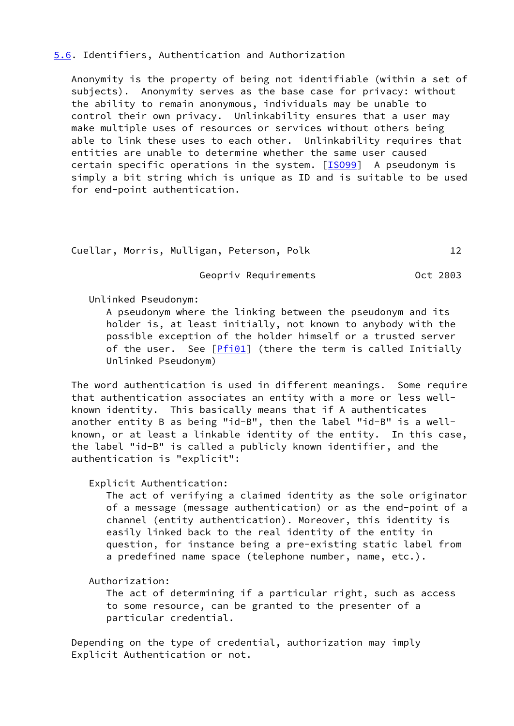### <span id="page-13-0"></span>[5.6](#page-13-0). Identifiers, Authentication and Authorization

 Anonymity is the property of being not identifiable (within a set of subjects). Anonymity serves as the base case for privacy: without the ability to remain anonymous, individuals may be unable to control their own privacy. Unlinkability ensures that a user may make multiple uses of resources or services without others being able to link these uses to each other. Unlinkability requires that entities are unable to determine whether the same user caused certain specific operations in the system.  $[15099]$  A pseudonym is simply a bit string which is unique as ID and is suitable to be used for end-point authentication.

```
Cuellar, Morris, Mulligan, Peterson, Polk 12
```
Geopriv Requirements **CELL 1998** Oct 2003

Unlinked Pseudonym:

 A pseudonym where the linking between the pseudonym and its holder is, at least initially, not known to anybody with the possible exception of the holder himself or a trusted server of the user. See [\[Pfi01](#page-28-3)] (there the term is called Initially Unlinked Pseudonym)

 The word authentication is used in different meanings. Some require that authentication associates an entity with a more or less well known identity. This basically means that if A authenticates another entity B as being "id-B", then the label "id-B" is a well known, or at least a linkable identity of the entity. In this case, the label "id-B" is called a publicly known identifier, and the authentication is "explicit":

Explicit Authentication:

 The act of verifying a claimed identity as the sole originator of a message (message authentication) or as the end-point of a channel (entity authentication). Moreover, this identity is easily linked back to the real identity of the entity in question, for instance being a pre-existing static label from a predefined name space (telephone number, name, etc.).

Authorization:

 The act of determining if a particular right, such as access to some resource, can be granted to the presenter of a particular credential.

 Depending on the type of credential, authorization may imply Explicit Authentication or not.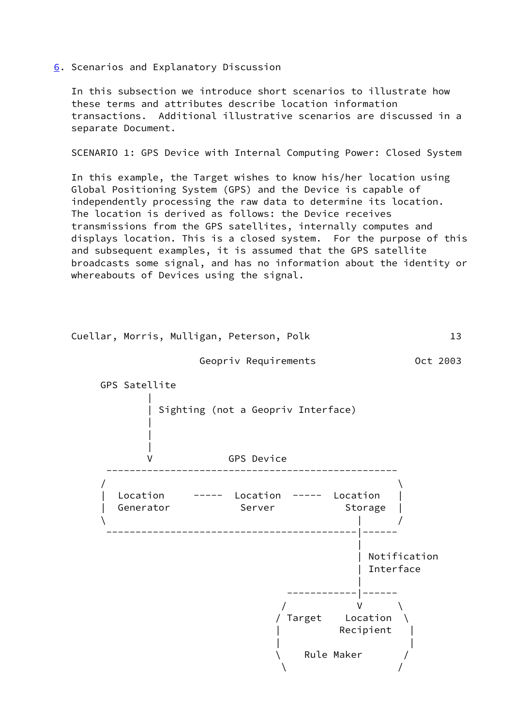<span id="page-14-0"></span>[6](#page-14-0). Scenarios and Explanatory Discussion

 In this subsection we introduce short scenarios to illustrate how these terms and attributes describe location information transactions. Additional illustrative scenarios are discussed in a separate Document.

SCENARIO 1: GPS Device with Internal Computing Power: Closed System

 In this example, the Target wishes to know his/her location using Global Positioning System (GPS) and the Device is capable of independently processing the raw data to determine its location. The location is derived as follows: the Device receives transmissions from the GPS satellites, internally computes and displays location. This is a closed system. For the purpose of this and subsequent examples, it is assumed that the GPS satellite broadcasts some signal, and has no information about the identity or whereabouts of Devices using the signal.





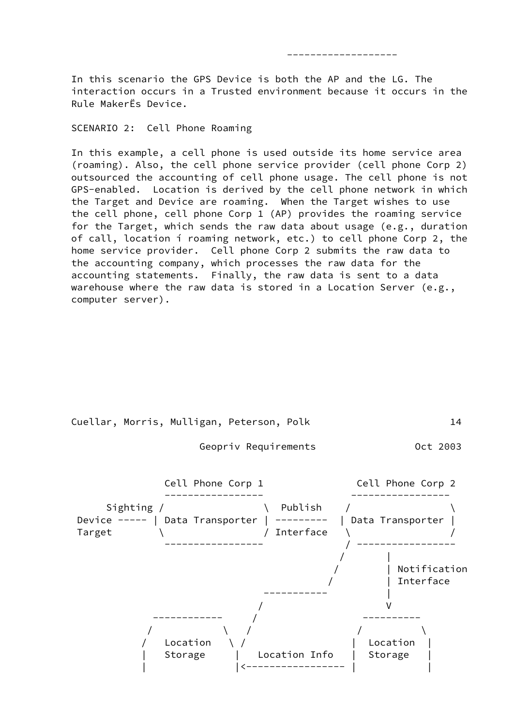In this scenario the GPS Device is both the AP and the LG. The interaction occurs in a Trusted environment because it occurs in the Rule MakerËs Device.

-------------------

SCENARIO 2: Cell Phone Roaming

 In this example, a cell phone is used outside its home service area (roaming). Also, the cell phone service provider (cell phone Corp 2) outsourced the accounting of cell phone usage. The cell phone is not GPS-enabled. Location is derived by the cell phone network in which the Target and Device are roaming. When the Target wishes to use the cell phone, cell phone Corp 1 (AP) provides the roaming service for the Target, which sends the raw data about usage (e.g., duration of call, location í roaming network, etc.) to cell phone Corp 2, the home service provider. Cell phone Corp 2 submits the raw data to the accounting company, which processes the raw data for the accounting statements. Finally, the raw data is sent to a data warehouse where the raw data is stored in a Location Server (e.g., computer server).



Geopriv Requirements **CELL COLO 1898** Oct 2003

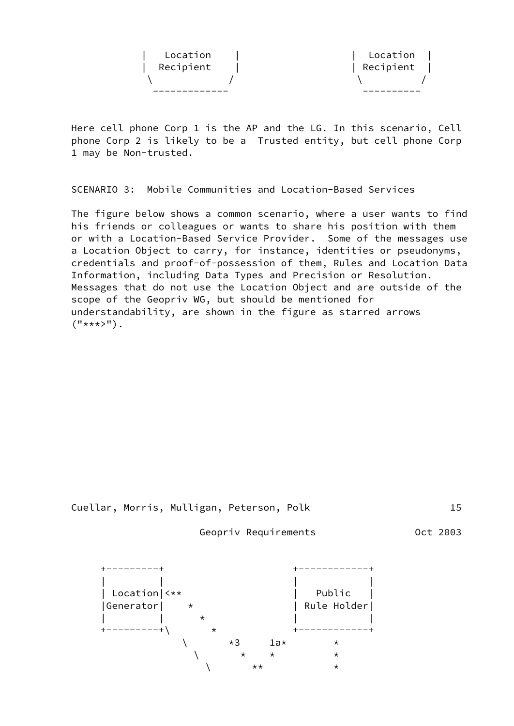| Recipient |
|-----------|
| Location  |
|           |

 Here cell phone Corp 1 is the AP and the LG. In this scenario, Cell phone Corp 2 is likely to be a Trusted entity, but cell phone Corp 1 may be Non-trusted.

SCENARIO 3: Mobile Communities and Location-Based Services

 The figure below shows a common scenario, where a user wants to find his friends or colleagues or wants to share his position with them or with a Location-Based Service Provider. Some of the messages use a Location Object to carry, for instance, identities or pseudonyms, credentials and proof-of-possession of them, Rules and Location Data Information, including Data Types and Precision or Resolution. Messages that do not use the Location Object and are outside of the scope of the Geopriv WG, but should be mentioned for understandability, are shown in the figure as starred arrows  $("****}>")$ .



Geopriv Requirements Oct 2003

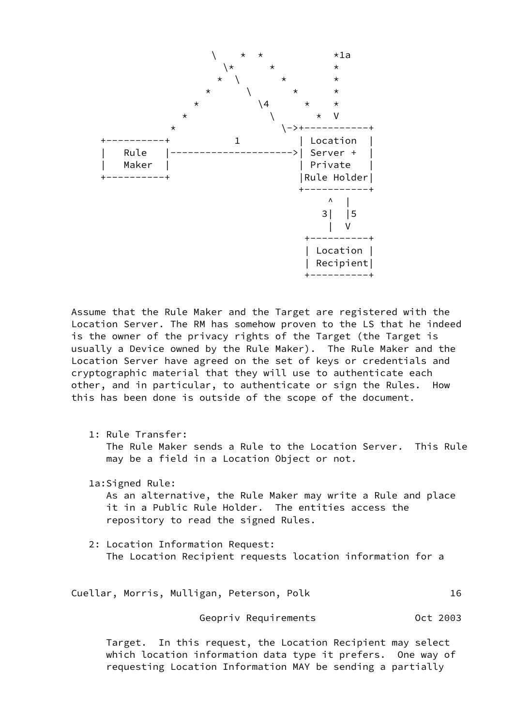

 Assume that the Rule Maker and the Target are registered with the Location Server. The RM has somehow proven to the LS that he indeed is the owner of the privacy rights of the Target (the Target is usually a Device owned by the Rule Maker). The Rule Maker and the Location Server have agreed on the set of keys or credentials and cryptographic material that they will use to authenticate each other, and in particular, to authenticate or sign the Rules. How this has been done is outside of the scope of the document.

1: Rule Transfer:

 The Rule Maker sends a Rule to the Location Server. This Rule may be a field in a Location Object or not.

1a:Signed Rule:

 As an alternative, the Rule Maker may write a Rule and place it in a Public Rule Holder. The entities access the repository to read the signed Rules.

 2: Location Information Request: The Location Recipient requests location information for a

Cuellar, Morris, Mulligan, Peterson, Polk 16

Geopriv Requirements **CELL 1003** 

 Target. In this request, the Location Recipient may select which location information data type it prefers. One way of requesting Location Information MAY be sending a partially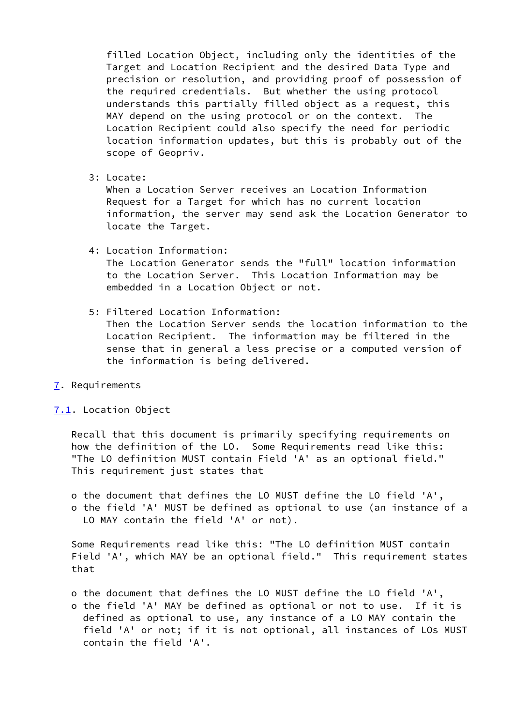filled Location Object, including only the identities of the Target and Location Recipient and the desired Data Type and precision or resolution, and providing proof of possession of the required credentials. But whether the using protocol understands this partially filled object as a request, this MAY depend on the using protocol or on the context. The Location Recipient could also specify the need for periodic location information updates, but this is probably out of the scope of Geopriv.

3: Locate:

 When a Location Server receives an Location Information Request for a Target for which has no current location information, the server may send ask the Location Generator to locate the Target.

4: Location Information:

 The Location Generator sends the "full" location information to the Location Server. This Location Information may be embedded in a Location Object or not.

5: Filtered Location Information:

 Then the Location Server sends the location information to the Location Recipient. The information may be filtered in the sense that in general a less precise or a computed version of the information is being delivered.

<span id="page-18-0"></span>[7](#page-18-0). Requirements

<span id="page-18-1"></span>[7.1](#page-18-1). Location Object

 Recall that this document is primarily specifying requirements on how the definition of the LO. Some Requirements read like this: "The LO definition MUST contain Field 'A' as an optional field." This requirement just states that

 o the document that defines the LO MUST define the LO field 'A', o the field 'A' MUST be defined as optional to use (an instance of a LO MAY contain the field 'A' or not).

 Some Requirements read like this: "The LO definition MUST contain Field 'A', which MAY be an optional field." This requirement states that

- o the document that defines the LO MUST define the LO field 'A',
- o the field 'A' MAY be defined as optional or not to use. If it is defined as optional to use, any instance of a LO MAY contain the field 'A' or not; if it is not optional, all instances of LOs MUST contain the field 'A'.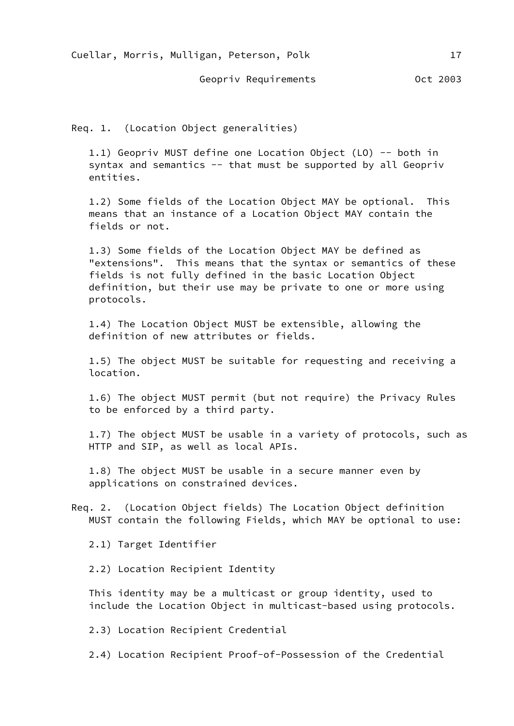Cuellar, Morris, Mulligan, Peterson, Polk 17

Geopriv Requirements **CELL 1998** Oct 2003

Req. 1. (Location Object generalities)

 1.1) Geopriv MUST define one Location Object (LO) -- both in syntax and semantics  $-$  that must be supported by all Geopriv entities.

 1.2) Some fields of the Location Object MAY be optional. This means that an instance of a Location Object MAY contain the fields or not.

 1.3) Some fields of the Location Object MAY be defined as "extensions". This means that the syntax or semantics of these fields is not fully defined in the basic Location Object definition, but their use may be private to one or more using protocols.

 1.4) The Location Object MUST be extensible, allowing the definition of new attributes or fields.

 1.5) The object MUST be suitable for requesting and receiving a location.

 1.6) The object MUST permit (but not require) the Privacy Rules to be enforced by a third party.

 1.7) The object MUST be usable in a variety of protocols, such as HTTP and SIP, as well as local APIs.

 1.8) The object MUST be usable in a secure manner even by applications on constrained devices.

 Req. 2. (Location Object fields) The Location Object definition MUST contain the following Fields, which MAY be optional to use:

2.1) Target Identifier

2.2) Location Recipient Identity

 This identity may be a multicast or group identity, used to include the Location Object in multicast-based using protocols.

2.3) Location Recipient Credential

2.4) Location Recipient Proof-of-Possession of the Credential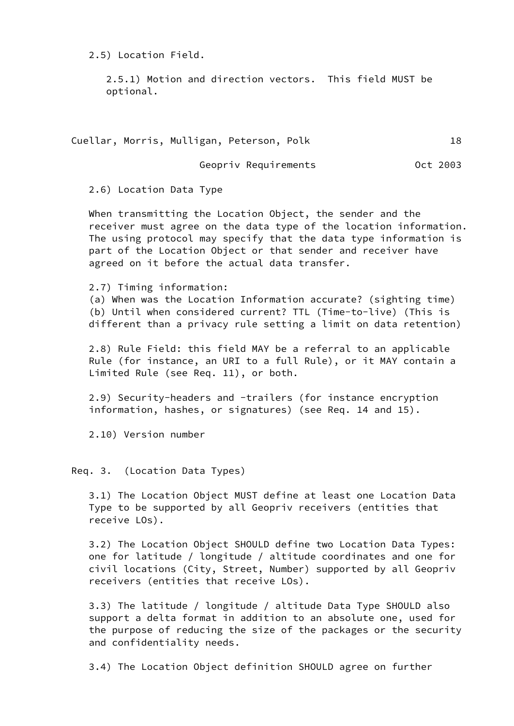2.5) Location Field.

 2.5.1) Motion and direction vectors. This field MUST be optional.

|  |  |  | Cuellar, Morris, Mulligan, Peterson, Polk |  |  |  |  |
|--|--|--|-------------------------------------------|--|--|--|--|
|--|--|--|-------------------------------------------|--|--|--|--|

Geopriv Requirements **CELL COLO 1898** Oct 2003

2.6) Location Data Type

 When transmitting the Location Object, the sender and the receiver must agree on the data type of the location information. The using protocol may specify that the data type information is part of the Location Object or that sender and receiver have agreed on it before the actual data transfer.

2.7) Timing information:

 (a) When was the Location Information accurate? (sighting time) (b) Until when considered current? TTL (Time-to-live) (This is different than a privacy rule setting a limit on data retention)

 2.8) Rule Field: this field MAY be a referral to an applicable Rule (for instance, an URI to a full Rule), or it MAY contain a Limited Rule (see Req. 11), or both.

 2.9) Security-headers and -trailers (for instance encryption information, hashes, or signatures) (see Req. 14 and 15).

2.10) Version number

Req. 3. (Location Data Types)

 3.1) The Location Object MUST define at least one Location Data Type to be supported by all Geopriv receivers (entities that receive LOs).

 3.2) The Location Object SHOULD define two Location Data Types: one for latitude / longitude / altitude coordinates and one for civil locations (City, Street, Number) supported by all Geopriv receivers (entities that receive LOs).

 3.3) The latitude / longitude / altitude Data Type SHOULD also support a delta format in addition to an absolute one, used for the purpose of reducing the size of the packages or the security and confidentiality needs.

3.4) The Location Object definition SHOULD agree on further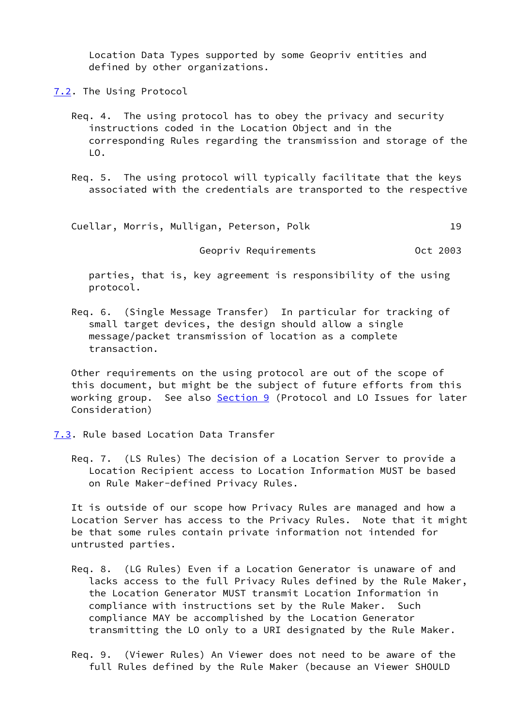Location Data Types supported by some Geopriv entities and defined by other organizations.

<span id="page-21-0"></span>[7.2](#page-21-0). The Using Protocol

- Req. 4. The using protocol has to obey the privacy and security instructions coded in the Location Object and in the corresponding Rules regarding the transmission and storage of the LO.
- Req. 5. The using protocol will typically facilitate that the keys associated with the credentials are transported to the respective

| Cuellar, Morris, Mulligan, Peterson, Polk |  |  |
|-------------------------------------------|--|--|
|-------------------------------------------|--|--|

Geopriv Requirements **CELL 1003** 

 parties, that is, key agreement is responsibility of the using protocol.

 Req. 6. (Single Message Transfer) In particular for tracking of small target devices, the design should allow a single message/packet transmission of location as a complete transaction.

 Other requirements on the using protocol are out of the scope of this document, but might be the subject of future efforts from this working group. See also [Section 9](#page-26-1) (Protocol and LO Issues for later Consideration)

- <span id="page-21-1"></span>[7.3](#page-21-1). Rule based Location Data Transfer
	- Req. 7. (LS Rules) The decision of a Location Server to provide a Location Recipient access to Location Information MUST be based on Rule Maker-defined Privacy Rules.

 It is outside of our scope how Privacy Rules are managed and how a Location Server has access to the Privacy Rules. Note that it might be that some rules contain private information not intended for untrusted parties.

- Req. 8. (LG Rules) Even if a Location Generator is unaware of and lacks access to the full Privacy Rules defined by the Rule Maker, the Location Generator MUST transmit Location Information in compliance with instructions set by the Rule Maker. Such compliance MAY be accomplished by the Location Generator transmitting the LO only to a URI designated by the Rule Maker.
- Req. 9. (Viewer Rules) An Viewer does not need to be aware of the full Rules defined by the Rule Maker (because an Viewer SHOULD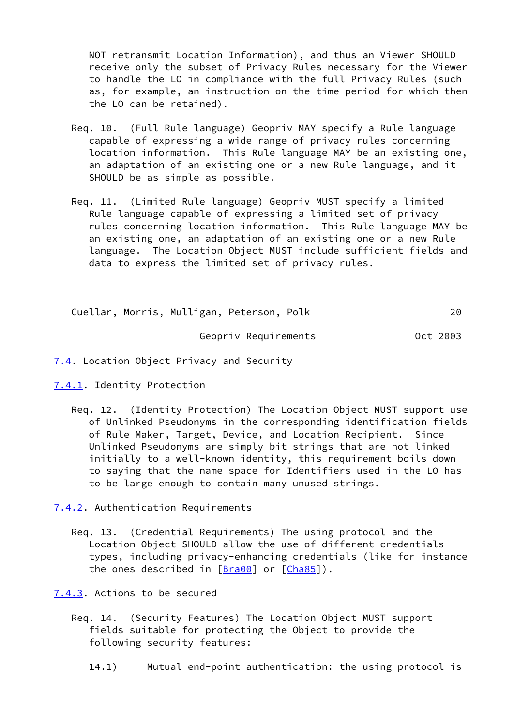NOT retransmit Location Information), and thus an Viewer SHOULD receive only the subset of Privacy Rules necessary for the Viewer to handle the LO in compliance with the full Privacy Rules (such as, for example, an instruction on the time period for which then the LO can be retained).

- Req. 10. (Full Rule language) Geopriv MAY specify a Rule language capable of expressing a wide range of privacy rules concerning location information. This Rule language MAY be an existing one, an adaptation of an existing one or a new Rule language, and it SHOULD be as simple as possible.
- Req. 11. (Limited Rule language) Geopriv MUST specify a limited Rule language capable of expressing a limited set of privacy rules concerning location information. This Rule language MAY be an existing one, an adaptation of an existing one or a new Rule language. The Location Object MUST include sufficient fields and data to express the limited set of privacy rules.

 Cuellar, Morris, Mulligan, Peterson, Polk 20 Geopriv Requirements **CELL 1003** 

- <span id="page-22-0"></span>[7.4](#page-22-0). Location Object Privacy and Security
- <span id="page-22-1"></span>[7.4.1](#page-22-1). Identity Protection
	- Req. 12. (Identity Protection) The Location Object MUST support use of Unlinked Pseudonyms in the corresponding identification fields of Rule Maker, Target, Device, and Location Recipient. Since Unlinked Pseudonyms are simply bit strings that are not linked initially to a well-known identity, this requirement boils down to saying that the name space for Identifiers used in the LO has to be large enough to contain many unused strings.
- <span id="page-22-2"></span>[7.4.2](#page-22-2). Authentication Requirements
	- Req. 13. (Credential Requirements) The using protocol and the Location Object SHOULD allow the use of different credentials types, including privacy-enhancing credentials (like for instance the ones described in  $[Bra00]$  or  $[Cha85]$  $[Cha85]$ .
- <span id="page-22-3"></span>[7.4.3](#page-22-3). Actions to be secured
	- Req. 14. (Security Features) The Location Object MUST support fields suitable for protecting the Object to provide the following security features:
		- 14.1) Mutual end-point authentication: the using protocol is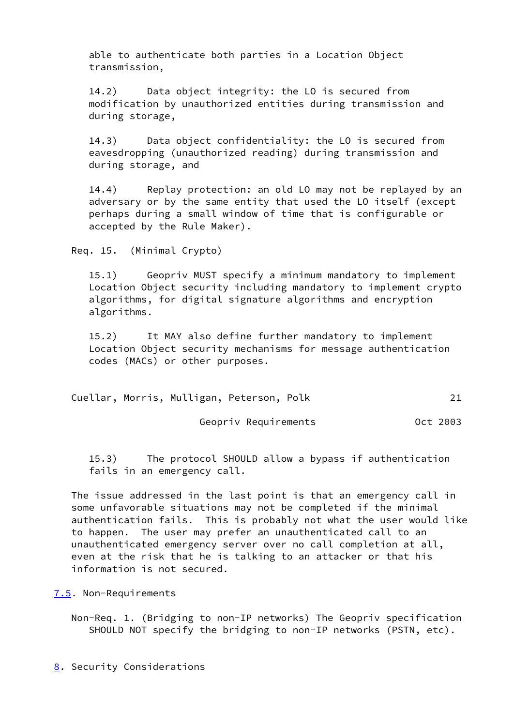able to authenticate both parties in a Location Object transmission,

 14.2) Data object integrity: the LO is secured from modification by unauthorized entities during transmission and during storage,

 14.3) Data object confidentiality: the LO is secured from eavesdropping (unauthorized reading) during transmission and during storage, and

 14.4) Replay protection: an old LO may not be replayed by an adversary or by the same entity that used the LO itself (except perhaps during a small window of time that is configurable or accepted by the Rule Maker).

Req. 15. (Minimal Crypto)

 15.1) Geopriv MUST specify a minimum mandatory to implement Location Object security including mandatory to implement crypto algorithms, for digital signature algorithms and encryption algorithms.

 15.2) It MAY also define further mandatory to implement Location Object security mechanisms for message authentication codes (MACs) or other purposes.

| Cuellar, Morris, Mulligan, Peterson, Polk |  |  |
|-------------------------------------------|--|--|
|-------------------------------------------|--|--|

Geopriv Requirements **CELL COLO 1898** Oct 2003

 15.3) The protocol SHOULD allow a bypass if authentication fails in an emergency call.

 The issue addressed in the last point is that an emergency call in some unfavorable situations may not be completed if the minimal authentication fails. This is probably not what the user would like to happen. The user may prefer an unauthenticated call to an unauthenticated emergency server over no call completion at all, even at the risk that he is talking to an attacker or that his information is not secured.

### <span id="page-23-0"></span>[7.5](#page-23-0). Non-Requirements

 Non-Req. 1. (Bridging to non-IP networks) The Geopriv specification SHOULD NOT specify the bridging to non-IP networks (PSTN, etc).

<span id="page-23-1"></span>[8](#page-23-1). Security Considerations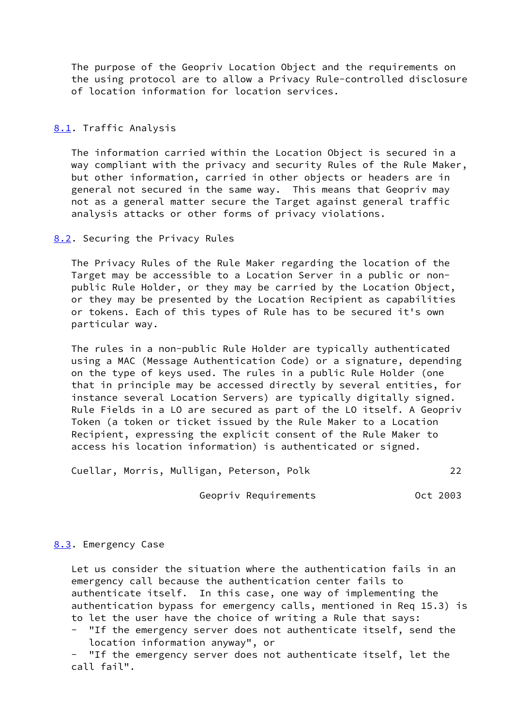The purpose of the Geopriv Location Object and the requirements on the using protocol are to allow a Privacy Rule-controlled disclosure of location information for location services.

# <span id="page-24-0"></span>[8.1](#page-24-0). Traffic Analysis

 The information carried within the Location Object is secured in a way compliant with the privacy and security Rules of the Rule Maker, but other information, carried in other objects or headers are in general not secured in the same way. This means that Geopriv may not as a general matter secure the Target against general traffic analysis attacks or other forms of privacy violations.

### <span id="page-24-1"></span>[8.2](#page-24-1). Securing the Privacy Rules

 The Privacy Rules of the Rule Maker regarding the location of the Target may be accessible to a Location Server in a public or non public Rule Holder, or they may be carried by the Location Object, or they may be presented by the Location Recipient as capabilities or tokens. Each of this types of Rule has to be secured it's own particular way.

 The rules in a non-public Rule Holder are typically authenticated using a MAC (Message Authentication Code) or a signature, depending on the type of keys used. The rules in a public Rule Holder (one that in principle may be accessed directly by several entities, for instance several Location Servers) are typically digitally signed. Rule Fields in a LO are secured as part of the LO itself. A Geopriv Token (a token or ticket issued by the Rule Maker to a Location Recipient, expressing the explicit consent of the Rule Maker to access his location information) is authenticated or signed.

Cuellar, Morris, Mulligan, Peterson, Polk 22

Geopriv Requirements **CELL 1003** 

#### <span id="page-24-2"></span>[8.3](#page-24-2). Emergency Case

 Let us consider the situation where the authentication fails in an emergency call because the authentication center fails to authenticate itself. In this case, one way of implementing the authentication bypass for emergency calls, mentioned in Req 15.3) is to let the user have the choice of writing a Rule that says: - "If the emergency server does not authenticate itself, send the location information anyway", or

 - "If the emergency server does not authenticate itself, let the call fail".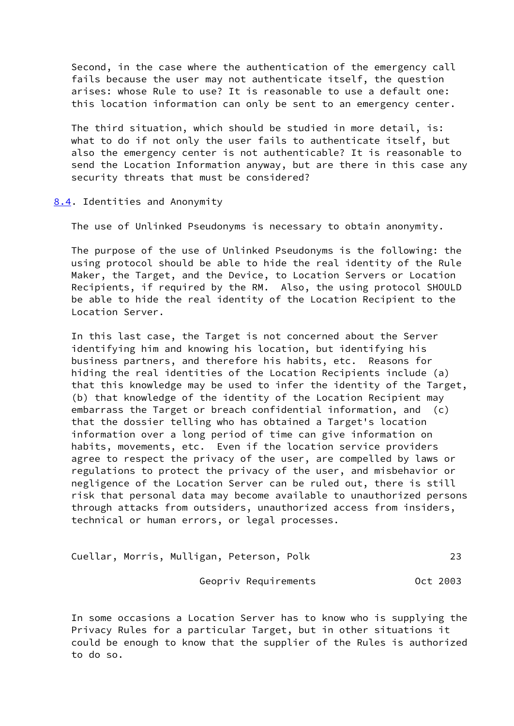Second, in the case where the authentication of the emergency call fails because the user may not authenticate itself, the question arises: whose Rule to use? It is reasonable to use a default one: this location information can only be sent to an emergency center.

 The third situation, which should be studied in more detail, is: what to do if not only the user fails to authenticate itself, but also the emergency center is not authenticable? It is reasonable to send the Location Information anyway, but are there in this case any security threats that must be considered?

<span id="page-25-0"></span>[8.4](#page-25-0). Identities and Anonymity

The use of Unlinked Pseudonyms is necessary to obtain anonymity.

 The purpose of the use of Unlinked Pseudonyms is the following: the using protocol should be able to hide the real identity of the Rule Maker, the Target, and the Device, to Location Servers or Location Recipients, if required by the RM. Also, the using protocol SHOULD be able to hide the real identity of the Location Recipient to the Location Server.

 In this last case, the Target is not concerned about the Server identifying him and knowing his location, but identifying his business partners, and therefore his habits, etc. Reasons for hiding the real identities of the Location Recipients include (a) that this knowledge may be used to infer the identity of the Target, (b) that knowledge of the identity of the Location Recipient may embarrass the Target or breach confidential information, and (c) that the dossier telling who has obtained a Target's location information over a long period of time can give information on habits, movements, etc. Even if the location service providers agree to respect the privacy of the user, are compelled by laws or regulations to protect the privacy of the user, and misbehavior or negligence of the Location Server can be ruled out, there is still risk that personal data may become available to unauthorized persons through attacks from outsiders, unauthorized access from insiders, technical or human errors, or legal processes.

| Cuellar, Morris, Mulligan, Peterson, Polk |  |  |  |  |
|-------------------------------------------|--|--|--|--|
|-------------------------------------------|--|--|--|--|

Geopriv Requirements **CELL COLO 1898** Oct 2003

 In some occasions a Location Server has to know who is supplying the Privacy Rules for a particular Target, but in other situations it could be enough to know that the supplier of the Rules is authorized to do so.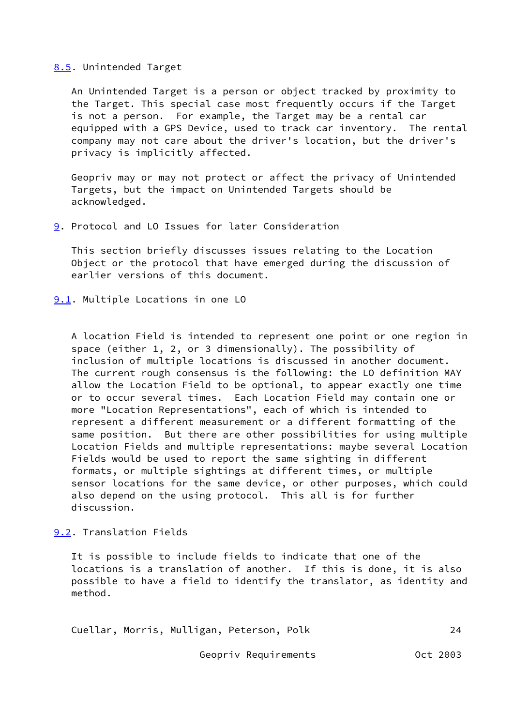### <span id="page-26-0"></span>[8.5](#page-26-0). Unintended Target

 An Unintended Target is a person or object tracked by proximity to the Target. This special case most frequently occurs if the Target is not a person. For example, the Target may be a rental car equipped with a GPS Device, used to track car inventory. The rental company may not care about the driver's location, but the driver's privacy is implicitly affected.

 Geopriv may or may not protect or affect the privacy of Unintended Targets, but the impact on Unintended Targets should be acknowledged.

<span id="page-26-1"></span>[9](#page-26-1). Protocol and LO Issues for later Consideration

 This section briefly discusses issues relating to the Location Object or the protocol that have emerged during the discussion of earlier versions of this document.

<span id="page-26-2"></span>[9.1](#page-26-2). Multiple Locations in one LO

 A location Field is intended to represent one point or one region in space (either 1, 2, or 3 dimensionally). The possibility of inclusion of multiple locations is discussed in another document. The current rough consensus is the following: the LO definition MAY allow the Location Field to be optional, to appear exactly one time or to occur several times. Each Location Field may contain one or more "Location Representations", each of which is intended to represent a different measurement or a different formatting of the same position. But there are other possibilities for using multiple Location Fields and multiple representations: maybe several Location Fields would be used to report the same sighting in different formats, or multiple sightings at different times, or multiple sensor locations for the same device, or other purposes, which could also depend on the using protocol. This all is for further discussion.

<span id="page-26-3"></span>[9.2](#page-26-3). Translation Fields

 It is possible to include fields to indicate that one of the locations is a translation of another. If this is done, it is also possible to have a field to identify the translator, as identity and method.

Cuellar, Morris, Mulligan, Peterson, Polk 24

Geopriv Requirements **CELL 1003**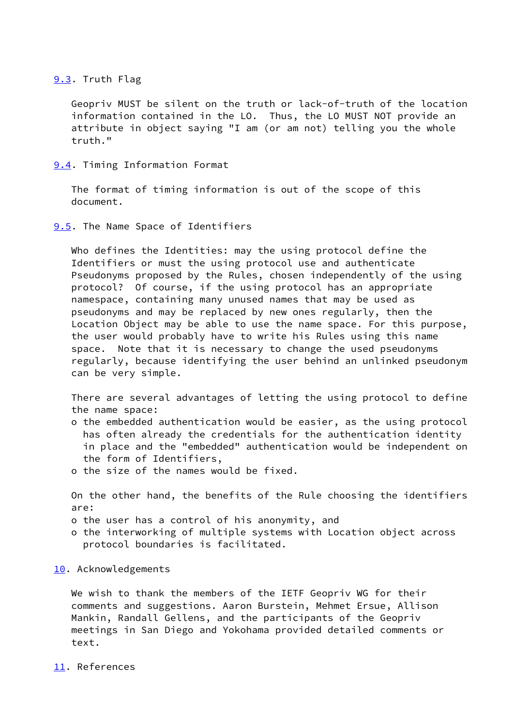## <span id="page-27-0"></span>[9.3](#page-27-0). Truth Flag

 Geopriv MUST be silent on the truth or lack-of-truth of the location information contained in the LO. Thus, the LO MUST NOT provide an attribute in object saying "I am (or am not) telling you the whole truth."

<span id="page-27-1"></span>[9.4](#page-27-1). Timing Information Format

 The format of timing information is out of the scope of this document.

<span id="page-27-2"></span>**[9.5](#page-27-2).** The Name Space of Identifiers

 Who defines the Identities: may the using protocol define the Identifiers or must the using protocol use and authenticate Pseudonyms proposed by the Rules, chosen independently of the using protocol? Of course, if the using protocol has an appropriate namespace, containing many unused names that may be used as pseudonyms and may be replaced by new ones regularly, then the Location Object may be able to use the name space. For this purpose, the user would probably have to write his Rules using this name space. Note that it is necessary to change the used pseudonyms regularly, because identifying the user behind an unlinked pseudonym can be very simple.

 There are several advantages of letting the using protocol to define the name space:

- o the embedded authentication would be easier, as the using protocol has often already the credentials for the authentication identity in place and the "embedded" authentication would be independent on the form of Identifiers,
- o the size of the names would be fixed.

 On the other hand, the benefits of the Rule choosing the identifiers are:

- o the user has a control of his anonymity, and
- o the interworking of multiple systems with Location object across protocol boundaries is facilitated.
- <span id="page-27-3"></span>[10.](#page-27-3) Acknowledgements

 We wish to thank the members of the IETF Geopriv WG for their comments and suggestions. Aaron Burstein, Mehmet Ersue, Allison Mankin, Randall Gellens, and the participants of the Geopriv meetings in San Diego and Yokohama provided detailed comments or text.

#### <span id="page-27-4"></span>[11.](#page-27-4) References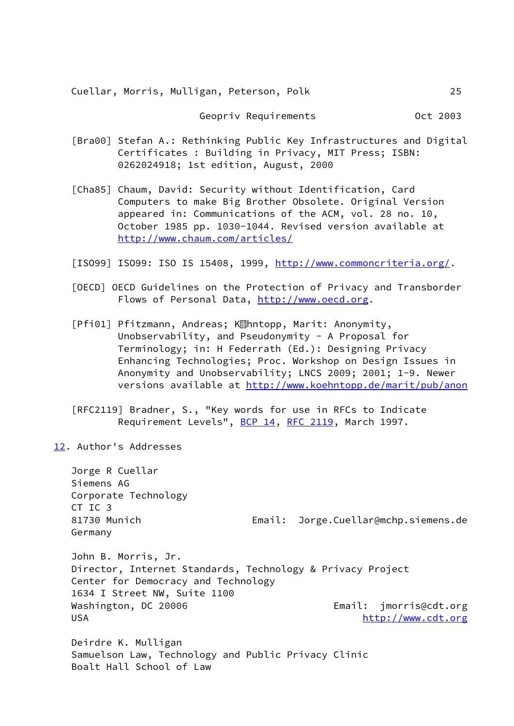Cuellar, Morris, Mulligan, Peterson, Polk 25

Geopriv Requirements **CELL COLO 1898** Oct 2003

- <span id="page-28-4"></span> [Bra00] Stefan A.: Rethinking Public Key Infrastructures and Digital Certificates : Building in Privacy, MIT Press; ISBN: 0262024918; 1st edition, August, 2000
- <span id="page-28-5"></span> [Cha85] Chaum, David: Security without Identification, Card Computers to make Big Brother Obsolete. Original Version appeared in: Communications of the ACM, vol. 28 no. 10, October 1985 pp. 1030-1044. Revised version available at <http://www.chaum.com/articles/>
- <span id="page-28-2"></span>[ISO99] ISO99: ISO IS 15408, 1999, <http://www.commoncriteria.org/>.
- <span id="page-28-1"></span> [OECD] OECD Guidelines on the Protection of Privacy and Transborder Flows of Personal Data,<http://www.oecd.org>.
- <span id="page-28-3"></span>[Pfi01] Pfitzmann, Andreas; K<sub>89</sub>hntopp, Marit: Anonymity, Unobservability, and Pseudonymity - A Proposal for Terminology; in: H Federrath (Ed.): Designing Privacy Enhancing Technologies; Proc. Workshop on Design Issues in Anonymity and Unobservability; LNCS 2009; 2001; 1-9. Newer versions available at<http://www.koehntopp.de/marit/pub/anon>
- [RFC2119] Bradner, S., "Key words for use in RFCs to Indicate Requirement Levels", [BCP 14](https://datatracker.ietf.org/doc/pdf/bcp14), [RFC 2119](https://datatracker.ietf.org/doc/pdf/rfc2119), March 1997.
- <span id="page-28-0"></span>[12.](#page-28-0) Author's Addresses

 Jorge R Cuellar Siemens AG Corporate Technology CT IC 3 81730 Munich Email: Jorge.Cuellar@mchp.siemens.de Germany John B. Morris, Jr. Director, Internet Standards, Technology & Privacy Project Center for Democracy and Technology 1634 I Street NW, Suite 1100 Washington, DC 20006 **Email:** jmorris@cdt.org USA <http://www.cdt.org>/

 Deirdre K. Mulligan Samuelson Law, Technology and Public Privacy Clinic Boalt Hall School of Law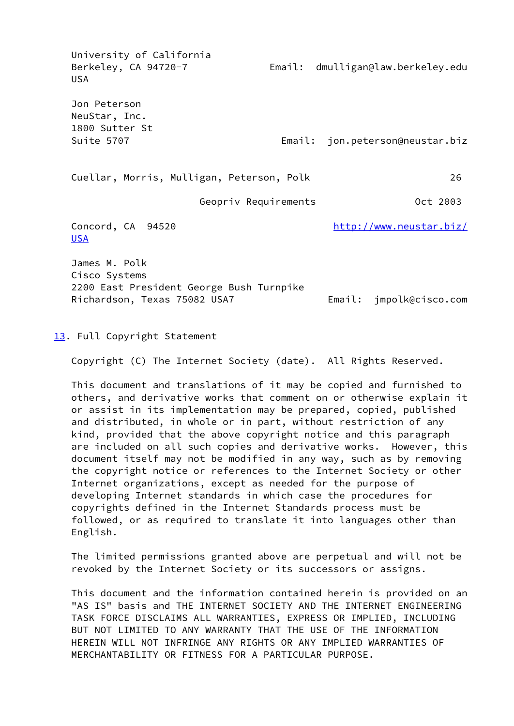University of California Berkeley, CA 94720-7 Email: dmulligan@law.berkeley.edu USA Jon Peterson NeuStar, Inc. 1800 Sutter St Suite 5707 Email: jon.peterson@neustar.biz Cuellar, Morris, Mulligan, Peterson, Polk 26 Geopriv Requirements **CELL 1003** Concord, CA 94520 [http://www.neustar.biz/](http://www.neustar.biz/USA) [USA](http://www.neustar.biz/USA) James M. Polk Cisco Systems 2200 East President George Bush Turnpike Richardson, Texas 75082 USA7 Email: jmpolk@cisco.com

<span id="page-29-0"></span>[13.](#page-29-0) Full Copyright Statement

Copyright (C) The Internet Society (date). All Rights Reserved.

 This document and translations of it may be copied and furnished to others, and derivative works that comment on or otherwise explain it or assist in its implementation may be prepared, copied, published and distributed, in whole or in part, without restriction of any kind, provided that the above copyright notice and this paragraph are included on all such copies and derivative works. However, this document itself may not be modified in any way, such as by removing the copyright notice or references to the Internet Society or other Internet organizations, except as needed for the purpose of developing Internet standards in which case the procedures for copyrights defined in the Internet Standards process must be followed, or as required to translate it into languages other than English.

 The limited permissions granted above are perpetual and will not be revoked by the Internet Society or its successors or assigns.

 This document and the information contained herein is provided on an "AS IS" basis and THE INTERNET SOCIETY AND THE INTERNET ENGINEERING TASK FORCE DISCLAIMS ALL WARRANTIES, EXPRESS OR IMPLIED, INCLUDING BUT NOT LIMITED TO ANY WARRANTY THAT THE USE OF THE INFORMATION HEREIN WILL NOT INFRINGE ANY RIGHTS OR ANY IMPLIED WARRANTIES OF MERCHANTABILITY OR FITNESS FOR A PARTICULAR PURPOSE.